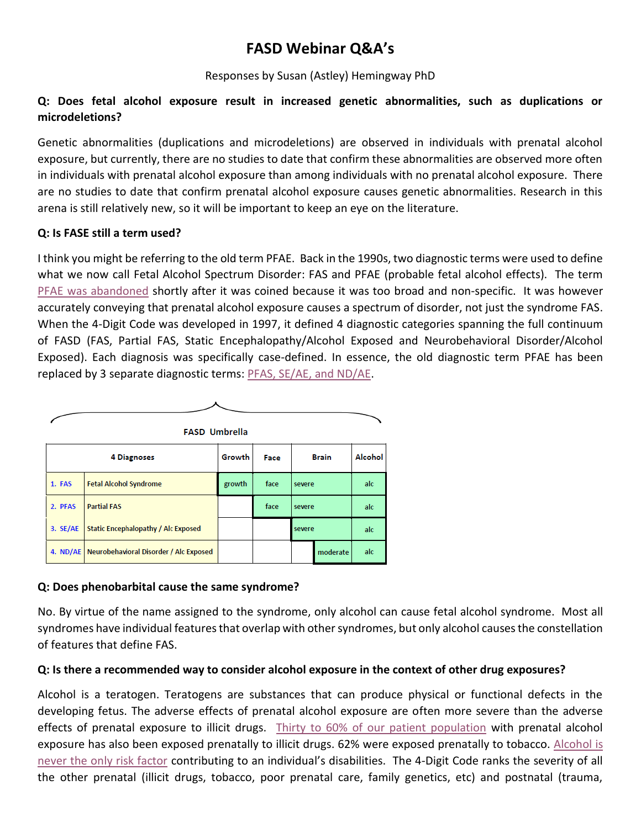# **FASD Webinar Q&A's**

## Responses by Susan (Astley) Hemingway PhD

## **Q: Does fetal alcohol exposure result in increased genetic abnormalities, such as duplications or microdeletions?**

Genetic abnormalities (duplications and microdeletions) are observed in individuals with prenatal alcohol exposure, but currently, there are no studies to date that confirm these abnormalities are observed more often in individuals with prenatal alcohol exposure than among individuals with no prenatal alcohol exposure. There are no studies to date that confirm prenatal alcohol exposure causes genetic abnormalities. Research in this arena is still relatively new, so it will be important to keep an eye on the literature.

## **Q: Is FASE still a term used?**

I think you might be referring to the old term PFAE. Back in the 1990s, two diagnostic terms were used to define what we now call Fetal Alcohol Spectrum Disorder: FAS and PFAE (probable fetal alcohol effects). The term [PFAE was abandoned](http://depts.washington.edu/fasdpn/pdfs/FAE.pdf) shortly after it was coined because it was too broad and non-specific. It was however accurately conveying that prenatal alcohol exposure causes a spectrum of disorder, not just the syndrome FAS. When the 4-Digit Code was developed in 1997, it defined 4 diagnostic categories spanning the full continuum of FASD (FAS, Partial FAS, Static Encephalopathy/Alcohol Exposed and Neurobehavioral Disorder/Alcohol Exposed). Each diagnosis was specifically case-defined. In essence, the old diagnostic term PFAE has been replaced by 3 separate diagnostic terms: [PFAS, SE/AE, and ND/AE.](http://depts.washington.edu/fasdpn/pdfs/astley-profile-2010.pdf)



## **Q: Does phenobarbital cause the same syndrome?**

No. By virtue of the name assigned to the syndrome, only alcohol can cause fetal alcohol syndrome. Most all syndromes have individual features that overlap with other syndromes, but only alcohol causes the constellation of features that define FAS.

## **Q: Is there a recommended way to consider alcohol exposure in the context of other drug exposures?**

Alcohol is a teratogen. Teratogens are substances that can produce physical or functional defects in the developing fetus. The adverse effects of prenatal alcohol exposure are often more severe than the adverse effects of prenatal exposure to illicit drugs. Thirty [to 60% of our patient population](http://depts.washington.edu/fasdpn/pdfs/astley-profile-2010.pdf) with prenatal alcohol exposure has also been exposed prenatally to illicit drugs. 62% were exposed prenatally to tobacco. [Alcohol is](https://tableau.washington.edu/views/Risks2020/Risks2020?%3Adisplay_count=n&%3Aembed=y&%3AisGuestRedirectFromVizportal=y&%3Aorigin=viz_share_link&%3AshowAppBanner=false&%3AshowVizHome=n)  [never the only risk factor](https://tableau.washington.edu/views/Risks2020/Risks2020?%3Adisplay_count=n&%3Aembed=y&%3AisGuestRedirectFromVizportal=y&%3Aorigin=viz_share_link&%3AshowAppBanner=false&%3AshowVizHome=n) contributing to an individual's disabilities. The 4-Digit Code ranks the severity of all the other prenatal (illicit drugs, tobacco, poor prenatal care, family genetics, etc) and postnatal (trauma,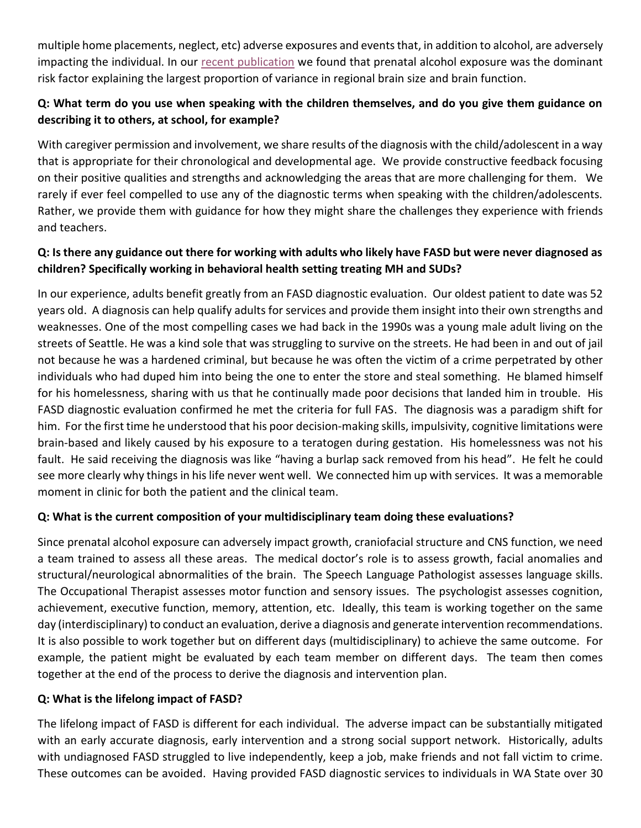multiple home placements, neglect, etc) adverse exposures and events that, in addition to alcohol, are adversely impacting the individual. In our [recent publication](http://depts.washington.edu/fasdpn/pdfs/Hemingway2020Risks.pdf) we found that prenatal alcohol exposure was the dominant risk factor explaining the largest proportion of variance in regional brain size and brain function.

## **Q: What term do you use when speaking with the children themselves, and do you give them guidance on describing it to others, at school, for example?**

With caregiver permission and involvement, we share results of the diagnosis with the child/adolescent in a way that is appropriate for their chronological and developmental age. We provide constructive feedback focusing on their positive qualities and strengths and acknowledging the areas that are more challenging for them. We rarely if ever feel compelled to use any of the diagnostic terms when speaking with the children/adolescents. Rather, we provide them with guidance for how they might share the challenges they experience with friends and teachers.

## **Q: Is there any guidance out there for working with adults who likely have FASD but were never diagnosed as children? Specifically working in behavioral health setting treating MH and SUDs?**

In our experience, adults benefit greatly from an FASD diagnostic evaluation. Our oldest patient to date was 52 years old. A diagnosis can help qualify adults for services and provide them insight into their own strengths and weaknesses. One of the most compelling cases we had back in the 1990s was a young male adult living on the streets of Seattle. He was a kind sole that was struggling to survive on the streets. He had been in and out of jail not because he was a hardened criminal, but because he was often the victim of a crime perpetrated by other individuals who had duped him into being the one to enter the store and steal something. He blamed himself for his homelessness, sharing with us that he continually made poor decisions that landed him in trouble. His FASD diagnostic evaluation confirmed he met the criteria for full FAS. The diagnosis was a paradigm shift for him. For the first time he understood that his poor decision-making skills, impulsivity, cognitive limitations were brain-based and likely caused by his exposure to a teratogen during gestation. His homelessness was not his fault. He said receiving the diagnosis was like "having a burlap sack removed from his head". He felt he could see more clearly why things in his life never went well. We connected him up with services. It was a memorable moment in clinic for both the patient and the clinical team.

## **Q: What is the current composition of your multidisciplinary team doing these evaluations?**

Since prenatal alcohol exposure can adversely impact growth, craniofacial structure and CNS function, we need a team trained to assess all these areas. The medical doctor's role is to assess growth, facial anomalies and structural/neurological abnormalities of the brain. The Speech Language Pathologist assesses language skills. The Occupational Therapist assesses motor function and sensory issues. The psychologist assesses cognition, achievement, executive function, memory, attention, etc. Ideally, this team is working together on the same day (interdisciplinary) to conduct an evaluation, derive a diagnosis and generate intervention recommendations. It is also possible to work together but on different days (multidisciplinary) to achieve the same outcome. For example, the patient might be evaluated by each team member on different days. The team then comes together at the end of the process to derive the diagnosis and intervention plan.

## **Q: What is the lifelong impact of FASD?**

The lifelong impact of FASD is different for each individual. The adverse impact can be substantially mitigated with an early accurate diagnosis, early intervention and a strong social support network. Historically, adults with undiagnosed FASD struggled to live independently, keep a job, make friends and not fall victim to crime. These outcomes can be avoided. Having provided FASD diagnostic services to individuals in WA State over 30